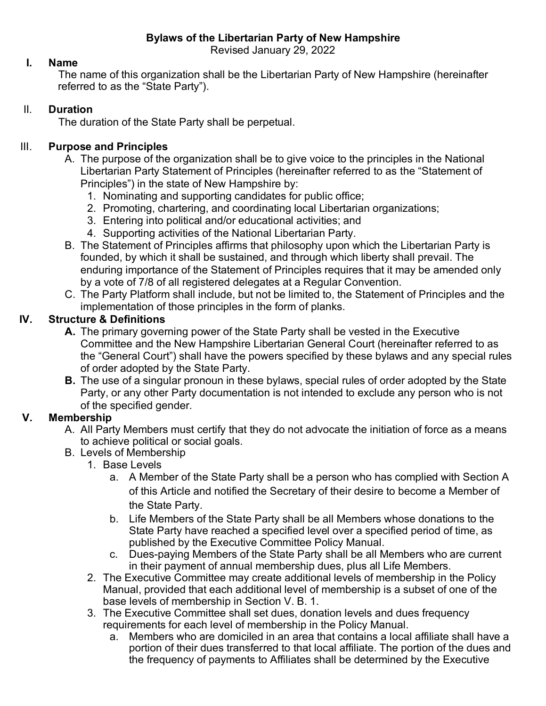**Bylaws of the Libertarian Party of New Hampshire**

Revised January 29, 2022

#### **I. Name**

The name of this organization shall be the Libertarian Party of New Hampshire (hereinafter referred to as the "State Party").

### II. **Duration**

The duration of the State Party shall be perpetual.

### III. **Purpose and Principles**

- A. The purpose of the organization shall be to give voice to the principles in the National Libertarian Party Statement of Principles (hereinafter referred to as the "Statement of Principles") in the state of New Hampshire by:
	- 1. Nominating and supporting candidates for public office;
	- 2. Promoting, chartering, and coordinating local Libertarian organizations;
	- 3. Entering into political and/or educational activities; and
	- 4. Supporting activities of the National Libertarian Party.
- B. The Statement of Principles affirms that philosophy upon which the Libertarian Party is founded, by which it shall be sustained, and through which liberty shall prevail. The enduring importance of the Statement of Principles requires that it may be amended only by a vote of 7/8 of all registered delegates at a Regular Convention.
- C. The Party Platform shall include, but not be limited to, the Statement of Principles and the implementation of those principles in the form of planks.

### **IV. Structure & Definitions**

- **A.** The primary governing power of the State Party shall be vested in the Executive Committee and the New Hampshire Libertarian General Court (hereinafter referred to as the "General Court") shall have the powers specified by these bylaws and any special rules of order adopted by the State Party.
- **B.** The use of a singular pronoun in these bylaws, special rules of order adopted by the State Party, or any other Party documentation is not intended to exclude any person who is not of the specified gender.

## **V. Membership**

- A. All Party Members must certify that they do not advocate the initiation of force as a means to achieve political or social goals.
- B. Levels of Membership
	- 1. Base Levels
		- a. A Member of the State Party shall be a person who has complied with Section A of this Article and notified the Secretary of their desire to become a Member of the State Party.
		- b. Life Members of the State Party shall be all Members whose donations to the State Party have reached a specified level over a specified period of time, as published by the Executive Committee Policy Manual.
		- c. Dues-paying Members of the State Party shall be all Members who are current in their payment of annual membership dues, plus all Life Members.
	- 2. The Executive Committee may create additional levels of membership in the Policy Manual, provided that each additional level of membership is a subset of one of the base levels of membership in Section V. B. 1.
	- 3. The Executive Committee shall set dues, donation levels and dues frequency requirements for each level of membership in the Policy Manual.
		- a. Members who are domiciled in an area that contains a local affiliate shall have a portion of their dues transferred to that local affiliate. The portion of the dues and the frequency of payments to Affiliates shall be determined by the Executive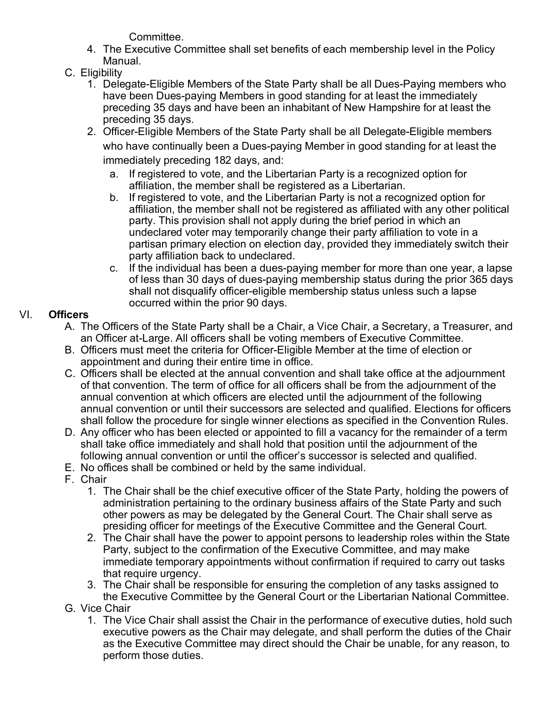Committee.

- 4. The Executive Committee shall set benefits of each membership level in the Policy Manual.
- C. Eligibility
	- 1. Delegate-Eligible Members of the State Party shall be all Dues-Paying members who have been Dues-paying Members in good standing for at least the immediately preceding 35 days and have been an inhabitant of New Hampshire for at least the preceding 35 days.
	- 2. Officer-Eligible Members of the State Party shall be all Delegate-Eligible members who have continually been a Dues-paying Member in good standing for at least the immediately preceding 182 days, and:
		- a. If registered to vote, and the Libertarian Party is a recognized option for affiliation, the member shall be registered as a Libertarian.
		- b. If registered to vote, and the Libertarian Party is not a recognized option for affiliation, the member shall not be registered as affiliated with any other political party. This provision shall not apply during the brief period in which an undeclared voter may temporarily change their party affiliation to vote in a partisan primary election on election day, provided they immediately switch their party affiliation back to undeclared.
		- c. If the individual has been a dues-paying member for more than one year, a lapse of less than 30 days of dues-paying membership status during the prior 365 days shall not disqualify officer-eligible membership status unless such a lapse occurred within the prior 90 days.

# VI. **Officers**

- A. The Officers of the State Party shall be a Chair, a Vice Chair, a Secretary, a Treasurer, and an Officer at-Large. All officers shall be voting members of Executive Committee.
- B. Officers must meet the criteria for Officer-Eligible Member at the time of election or appointment and during their entire time in office.
- C. Officers shall be elected at the annual convention and shall take office at the adjournment of that convention. The term of office for all officers shall be from the adjournment of the annual convention at which officers are elected until the adjournment of the following annual convention or until their successors are selected and qualified. Elections for officers shall follow the procedure for single winner elections as specified in the Convention Rules.
- D. Any officer who has been elected or appointed to fill a vacancy for the remainder of a term shall take office immediately and shall hold that position until the adjournment of the following annual convention or until the officer's successor is selected and qualified.
- E. No offices shall be combined or held by the same individual.
- F. Chair
	- 1. The Chair shall be the chief executive officer of the State Party, holding the powers of administration pertaining to the ordinary business affairs of the State Party and such other powers as may be delegated by the General Court. The Chair shall serve as presiding officer for meetings of the Executive Committee and the General Court.
	- 2. The Chair shall have the power to appoint persons to leadership roles within the State Party, subject to the confirmation of the Executive Committee, and may make immediate temporary appointments without confirmation if required to carry out tasks that require urgency.
	- 3. The Chair shall be responsible for ensuring the completion of any tasks assigned to the Executive Committee by the General Court or the Libertarian National Committee.
- G. Vice Chair
	- 1. The Vice Chair shall assist the Chair in the performance of executive duties, hold such executive powers as the Chair may delegate, and shall perform the duties of the Chair as the Executive Committee may direct should the Chair be unable, for any reason, to perform those duties.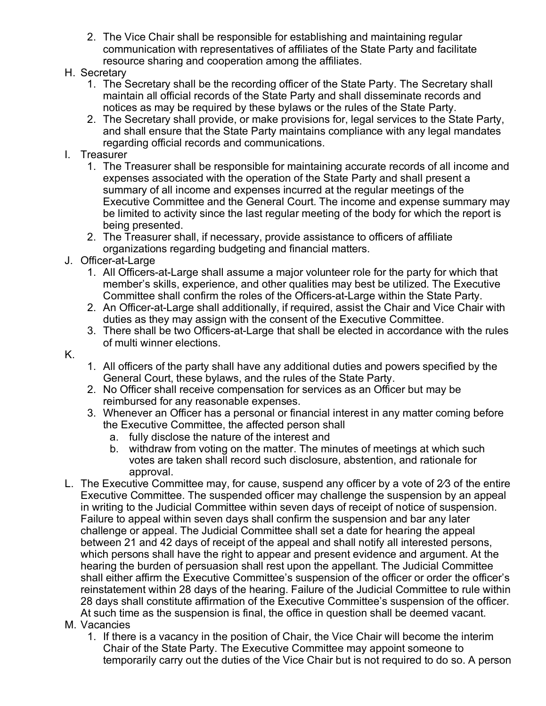2. The Vice Chair shall be responsible for establishing and maintaining regular communication with representatives of affiliates of the State Party and facilitate resource sharing and cooperation among the affiliates.

#### H. Secretary

- 1. The Secretary shall be the recording officer of the State Party. The Secretary shall maintain all official records of the State Party and shall disseminate records and notices as may be required by these bylaws or the rules of the State Party.
- 2. The Secretary shall provide, or make provisions for, legal services to the State Party, and shall ensure that the State Party maintains compliance with any legal mandates regarding official records and communications.

#### I. Treasurer

- 1. The Treasurer shall be responsible for maintaining accurate records of all income and expenses associated with the operation of the State Party and shall present a summary of all income and expenses incurred at the regular meetings of the Executive Committee and the General Court. The income and expense summary may be limited to activity since the last regular meeting of the body for which the report is being presented.
- 2. The Treasurer shall, if necessary, provide assistance to officers of affiliate organizations regarding budgeting and financial matters.
- J. Officer-at-Large
	- 1. All Officers-at-Large shall assume a major volunteer role for the party for which that member's skills, experience, and other qualities may best be utilized. The Executive Committee shall confirm the roles of the Officers-at-Large within the State Party.
	- 2. An Officer-at-Large shall additionally, if required, assist the Chair and Vice Chair with duties as they may assign with the consent of the Executive Committee.
	- 3. There shall be two Officers-at-Large that shall be elected in accordance with the rules of multi winner elections.
- K.
- 1. All officers of the party shall have any additional duties and powers specified by the General Court, these bylaws, and the rules of the State Party.
- 2. No Officer shall receive compensation for services as an Officer but may be reimbursed for any reasonable expenses.
- 3. Whenever an Officer has a personal or financial interest in any matter coming before the Executive Committee, the affected person shall
	- a. fully disclose the nature of the interest and
	- b. withdraw from voting on the matter. The minutes of meetings at which such votes are taken shall record such disclosure, abstention, and rationale for approval.
- L. The Executive Committee may, for cause, suspend any officer by a vote of 2⁄3 of the entire Executive Committee. The suspended officer may challenge the suspension by an appeal in writing to the Judicial Committee within seven days of receipt of notice of suspension. Failure to appeal within seven days shall confirm the suspension and bar any later challenge or appeal. The Judicial Committee shall set a date for hearing the appeal between 21 and 42 days of receipt of the appeal and shall notify all interested persons, which persons shall have the right to appear and present evidence and argument. At the hearing the burden of persuasion shall rest upon the appellant. The Judicial Committee shall either affirm the Executive Committee's suspension of the officer or order the officer's reinstatement within 28 days of the hearing. Failure of the Judicial Committee to rule within 28 days shall constitute affirmation of the Executive Committee's suspension of the officer. At such time as the suspension is final, the office in question shall be deemed vacant.
- M. Vacancies
	- 1. If there is a vacancy in the position of Chair, the Vice Chair will become the interim Chair of the State Party. The Executive Committee may appoint someone to temporarily carry out the duties of the Vice Chair but is not required to do so. A person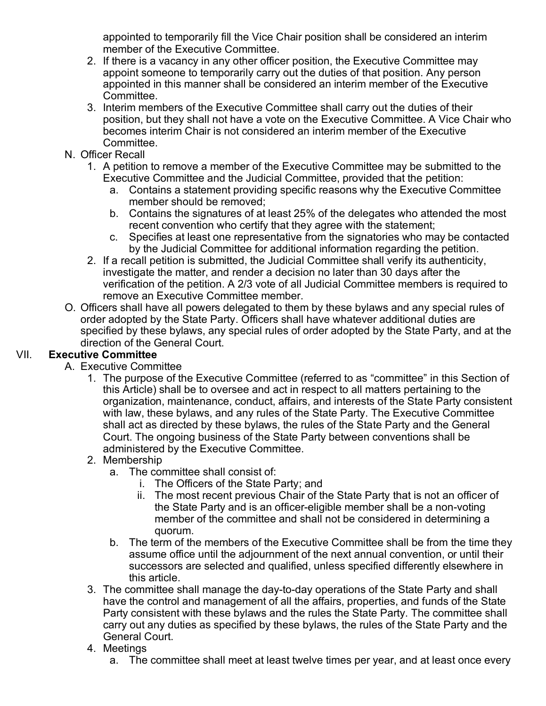appointed to temporarily fill the Vice Chair position shall be considered an interim member of the Executive Committee.

- 2. If there is a vacancy in any other officer position, the Executive Committee may appoint someone to temporarily carry out the duties of that position. Any person appointed in this manner shall be considered an interim member of the Executive Committee.
- 3. Interim members of the Executive Committee shall carry out the duties of their position, but they shall not have a vote on the Executive Committee. A Vice Chair who becomes interim Chair is not considered an interim member of the Executive **Committee**
- N. Officer Recall
	- 1. A petition to remove a member of the Executive Committee may be submitted to the Executive Committee and the Judicial Committee, provided that the petition:
		- a. Contains a statement providing specific reasons why the Executive Committee member should be removed;
		- b. Contains the signatures of at least 25% of the delegates who attended the most recent convention who certify that they agree with the statement;
		- c. Specifies at least one representative from the signatories who may be contacted by the Judicial Committee for additional information regarding the petition.
	- 2. If a recall petition is submitted, the Judicial Committee shall verify its authenticity, investigate the matter, and render a decision no later than 30 days after the verification of the petition. A 2/3 vote of all Judicial Committee members is required to remove an Executive Committee member.
- O. Officers shall have all powers delegated to them by these bylaws and any special rules of order adopted by the State Party. Officers shall have whatever additional duties are specified by these bylaws, any special rules of order adopted by the State Party, and at the direction of the General Court.

## VII. **Executive Committee**

- A. Executive Committee
	- 1. The purpose of the Executive Committee (referred to as "committee" in this Section of this Article) shall be to oversee and act in respect to all matters pertaining to the organization, maintenance, conduct, affairs, and interests of the State Party consistent with law, these bylaws, and any rules of the State Party. The Executive Committee shall act as directed by these bylaws, the rules of the State Party and the General Court. The ongoing business of the State Party between conventions shall be administered by the Executive Committee.
	- 2. Membership
		- a. The committee shall consist of:
			- i. The Officers of the State Party; and
			- ii. The most recent previous Chair of the State Party that is not an officer of the State Party and is an officer-eligible member shall be a non-voting member of the committee and shall not be considered in determining a quorum.
		- b. The term of the members of the Executive Committee shall be from the time they assume office until the adjournment of the next annual convention, or until their successors are selected and qualified, unless specified differently elsewhere in this article.
	- 3. The committee shall manage the day-to-day operations of the State Party and shall have the control and management of all the affairs, properties, and funds of the State Party consistent with these bylaws and the rules the State Party. The committee shall carry out any duties as specified by these bylaws, the rules of the State Party and the General Court.
	- 4. Meetings
		- a. The committee shall meet at least twelve times per year, and at least once every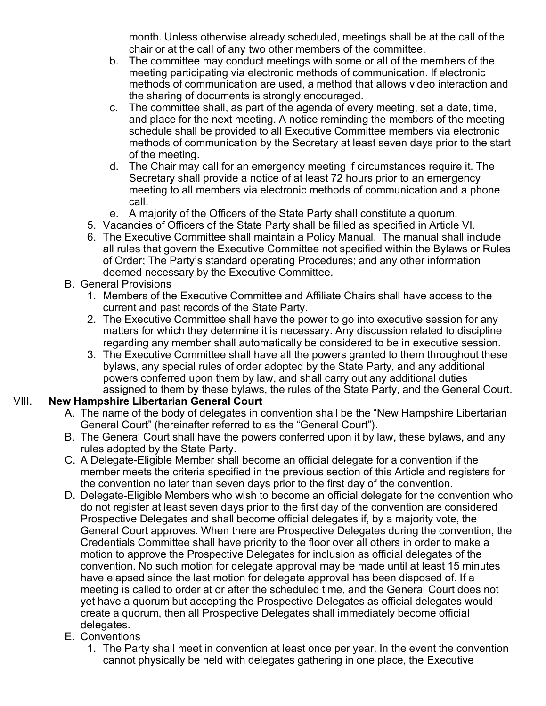month. Unless otherwise already scheduled, meetings shall be at the call of the chair or at the call of any two other members of the committee.

- b. The committee may conduct meetings with some or all of the members of the meeting participating via electronic methods of communication. If electronic methods of communication are used, a method that allows video interaction and the sharing of documents is strongly encouraged.
- c. The committee shall, as part of the agenda of every meeting, set a date, time, and place for the next meeting. A notice reminding the members of the meeting schedule shall be provided to all Executive Committee members via electronic methods of communication by the Secretary at least seven days prior to the start of the meeting.
- d. The Chair may call for an emergency meeting if circumstances require it. The Secretary shall provide a notice of at least 72 hours prior to an emergency meeting to all members via electronic methods of communication and a phone call.
- e. A majority of the Officers of the State Party shall constitute a quorum.
- 5. Vacancies of Officers of the State Party shall be filled as specified in Article VI.
- 6. The Executive Committee shall maintain a Policy Manual. The manual shall include all rules that govern the Executive Committee not specified within the Bylaws or Rules of Order; The Party's standard operating Procedures; and any other information deemed necessary by the Executive Committee.
- B. General Provisions
	- 1. Members of the Executive Committee and Affiliate Chairs shall have access to the current and past records of the State Party.
	- 2. The Executive Committee shall have the power to go into executive session for any matters for which they determine it is necessary. Any discussion related to discipline regarding any member shall automatically be considered to be in executive session.
	- 3. The Executive Committee shall have all the powers granted to them throughout these bylaws, any special rules of order adopted by the State Party, and any additional powers conferred upon them by law, and shall carry out any additional duties assigned to them by these bylaws, the rules of the State Party, and the General Court.

#### VIII. **New Hampshire Libertarian General Court**

- A. The name of the body of delegates in convention shall be the "New Hampshire Libertarian General Court" (hereinafter referred to as the "General Court").
- B. The General Court shall have the powers conferred upon it by law, these bylaws, and any rules adopted by the State Party.
- C. A Delegate-Eligible Member shall become an official delegate for a convention if the member meets the criteria specified in the previous section of this Article and registers for the convention no later than seven days prior to the first day of the convention.
- D. Delegate-Eligible Members who wish to become an official delegate for the convention who do not register at least seven days prior to the first day of the convention are considered Prospective Delegates and shall become official delegates if, by a majority vote, the General Court approves. When there are Prospective Delegates during the convention, the Credentials Committee shall have priority to the floor over all others in order to make a motion to approve the Prospective Delegates for inclusion as official delegates of the convention. No such motion for delegate approval may be made until at least 15 minutes have elapsed since the last motion for delegate approval has been disposed of. If a meeting is called to order at or after the scheduled time, and the General Court does not yet have a quorum but accepting the Prospective Delegates as official delegates would create a quorum, then all Prospective Delegates shall immediately become official delegates.
- E. Conventions
	- 1. The Party shall meet in convention at least once per year. In the event the convention cannot physically be held with delegates gathering in one place, the Executive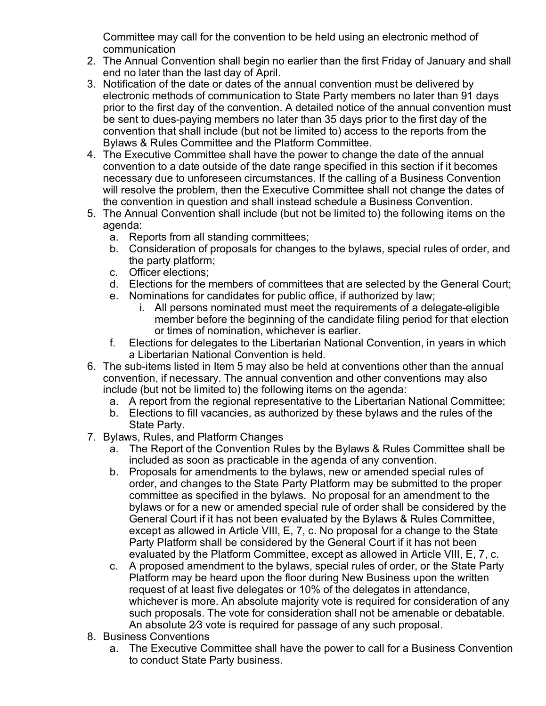Committee may call for the convention to be held using an electronic method of communication

- 2. The Annual Convention shall begin no earlier than the first Friday of January and shall end no later than the last day of April.
- 3. Notification of the date or dates of the annual convention must be delivered by electronic methods of communication to State Party members no later than 91 days prior to the first day of the convention. A detailed notice of the annual convention must be sent to dues-paying members no later than 35 days prior to the first day of the convention that shall include (but not be limited to) access to the reports from the Bylaws & Rules Committee and the Platform Committee.
- 4. The Executive Committee shall have the power to change the date of the annual convention to a date outside of the date range specified in this section if it becomes necessary due to unforeseen circumstances. If the calling of a Business Convention will resolve the problem, then the Executive Committee shall not change the dates of the convention in question and shall instead schedule a Business Convention.
- 5. The Annual Convention shall include (but not be limited to) the following items on the agenda:
	- a. Reports from all standing committees;
	- b. Consideration of proposals for changes to the bylaws, special rules of order, and the party platform;
	- c. Officer elections;
	- d. Elections for the members of committees that are selected by the General Court;
	- e. Nominations for candidates for public office, if authorized by law;
		- i. All persons nominated must meet the requirements of a delegate-eligible member before the beginning of the candidate filing period for that election or times of nomination, whichever is earlier.
	- f. Elections for delegates to the Libertarian National Convention, in years in which a Libertarian National Convention is held.
- 6. The sub-items listed in Item 5 may also be held at conventions other than the annual convention, if necessary. The annual convention and other conventions may also include (but not be limited to) the following items on the agenda:
	- a. A report from the regional representative to the Libertarian National Committee;
	- b. Elections to fill vacancies, as authorized by these bylaws and the rules of the State Party.
- 7. Bylaws, Rules, and Platform Changes
	- a. The Report of the Convention Rules by the Bylaws & Rules Committee shall be included as soon as practicable in the agenda of any convention.
	- b. Proposals for amendments to the bylaws, new or amended special rules of order, and changes to the State Party Platform may be submitted to the proper committee as specified in the bylaws. No proposal for an amendment to the bylaws or for a new or amended special rule of order shall be considered by the General Court if it has not been evaluated by the Bylaws & Rules Committee, except as allowed in Article VIII, E, 7, c. No proposal for a change to the State Party Platform shall be considered by the General Court if it has not been evaluated by the Platform Committee, except as allowed in Article VIII, E, 7, c.
	- c. A proposed amendment to the bylaws, special rules of order, or the State Party Platform may be heard upon the floor during New Business upon the written request of at least five delegates or 10% of the delegates in attendance, whichever is more. An absolute majority vote is required for consideration of any such proposals. The vote for consideration shall not be amenable or debatable. An absolute 2⁄3 vote is required for passage of any such proposal.
- 8. Business Conventions
	- a. The Executive Committee shall have the power to call for a Business Convention to conduct State Party business.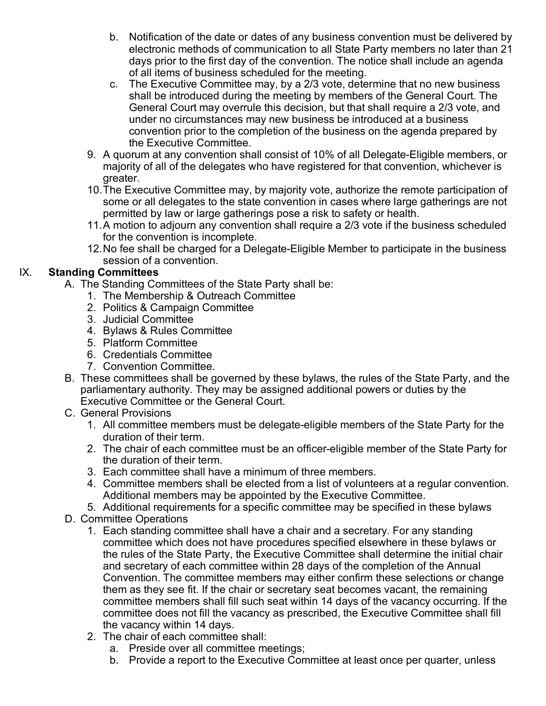- b. Notification of the date or dates of any business convention must be delivered by electronic methods of communication to all State Party members no later than 21 days prior to the first day of the convention. The notice shall include an agenda of all items of business scheduled for the meeting.
- c. The Executive Committee may, by a 2/3 vote, determine that no new business shall be introduced during the meeting by members of the General Court. The General Court may overrule this decision, but that shall require a 2/3 vote, and under no circumstances may new business be introduced at a business convention prior to the completion of the business on the agenda prepared by the Executive Committee.
- 9. A quorum at any convention shall consist of 10% of all Delegate-Eligible members, or majority of all of the delegates who have registered for that convention, whichever is greater.
- 10.The Executive Committee may, by majority vote, authorize the remote participation of some or all delegates to the state convention in cases where large gatherings are not permitted by law or large gatherings pose a risk to safety or health.
- 11.A motion to adjourn any convention shall require a 2/3 vote if the business scheduled for the convention is incomplete.
- 12.No fee shall be charged for a Delegate-Eligible Member to participate in the business session of a convention.

#### IX. **Standing Committees**

- A. The Standing Committees of the State Party shall be:
	- 1. The Membership & Outreach Committee
	- 2. Politics & Campaign Committee
	- 3. Judicial Committee
	- 4. Bylaws & Rules Committee
	- 5. Platform Committee
	- 6. Credentials Committee
	- 7. Convention Committee.
- B. These committees shall be governed by these bylaws, the rules of the State Party, and the parliamentary authority. They may be assigned additional powers or duties by the Executive Committee or the General Court.
- C. General Provisions
	- 1. All committee members must be delegate-eligible members of the State Party for the duration of their term.
	- 2. The chair of each committee must be an officer-eligible member of the State Party for the duration of their term.
	- 3. Each committee shall have a minimum of three members.
	- 4. Committee members shall be elected from a list of volunteers at a regular convention. Additional members may be appointed by the Executive Committee.
	- 5. Additional requirements for a specific committee may be specified in these bylaws
- D. Committee Operations
	- 1. Each standing committee shall have a chair and a secretary. For any standing committee which does not have procedures specified elsewhere in these bylaws or the rules of the State Party, the Executive Committee shall determine the initial chair and secretary of each committee within 28 days of the completion of the Annual Convention. The committee members may either confirm these selections or change them as they see fit. If the chair or secretary seat becomes vacant, the remaining committee members shall fill such seat within 14 days of the vacancy occurring. If the committee does not fill the vacancy as prescribed, the Executive Committee shall fill the vacancy within 14 days.
	- 2. The chair of each committee shall:
		- a. Preside over all committee meetings;
		- b. Provide a report to the Executive Committee at least once per quarter, unless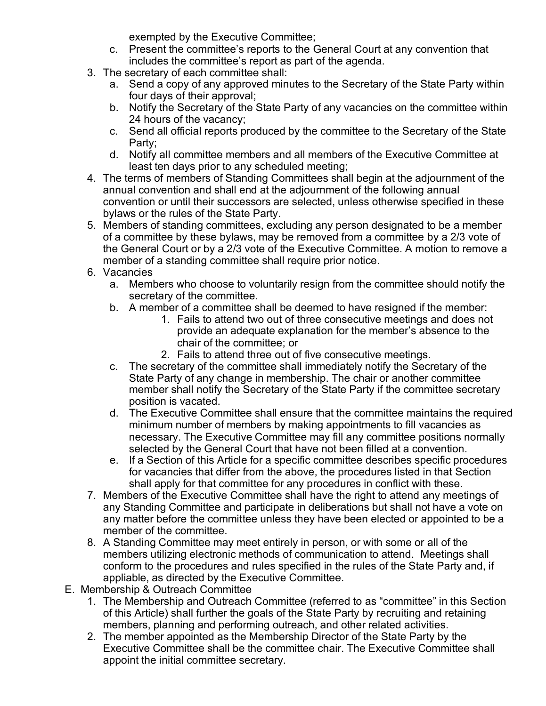exempted by the Executive Committee;

- c. Present the committee's reports to the General Court at any convention that includes the committee's report as part of the agenda.
- 3. The secretary of each committee shall:
	- a. Send a copy of any approved minutes to the Secretary of the State Party within four days of their approval;
	- b. Notify the Secretary of the State Party of any vacancies on the committee within 24 hours of the vacancy;
	- c. Send all official reports produced by the committee to the Secretary of the State Party;
	- d. Notify all committee members and all members of the Executive Committee at least ten days prior to any scheduled meeting;
- 4. The terms of members of Standing Committees shall begin at the adjournment of the annual convention and shall end at the adjournment of the following annual convention or until their successors are selected, unless otherwise specified in these bylaws or the rules of the State Party.
- 5. Members of standing committees, excluding any person designated to be a member of a committee by these bylaws, may be removed from a committee by a 2/3 vote of the General Court or by a 2/3 vote of the Executive Committee. A motion to remove a member of a standing committee shall require prior notice.
- 6. Vacancies
	- a. Members who choose to voluntarily resign from the committee should notify the secretary of the committee.
	- b. A member of a committee shall be deemed to have resigned if the member:
		- 1. Fails to attend two out of three consecutive meetings and does not provide an adequate explanation for the member's absence to the chair of the committee; or
		- 2. Fails to attend three out of five consecutive meetings.
	- c. The secretary of the committee shall immediately notify the Secretary of the State Party of any change in membership. The chair or another committee member shall notify the Secretary of the State Party if the committee secretary position is vacated.
	- d. The Executive Committee shall ensure that the committee maintains the required minimum number of members by making appointments to fill vacancies as necessary. The Executive Committee may fill any committee positions normally selected by the General Court that have not been filled at a convention.
	- e. If a Section of this Article for a specific committee describes specific procedures for vacancies that differ from the above, the procedures listed in that Section shall apply for that committee for any procedures in conflict with these.
- 7. Members of the Executive Committee shall have the right to attend any meetings of any Standing Committee and participate in deliberations but shall not have a vote on any matter before the committee unless they have been elected or appointed to be a member of the committee.
- 8. A Standing Committee may meet entirely in person, or with some or all of the members utilizing electronic methods of communication to attend. Meetings shall conform to the procedures and rules specified in the rules of the State Party and, if appliable, as directed by the Executive Committee.
- E. Membership & Outreach Committee
	- 1. The Membership and Outreach Committee (referred to as "committee" in this Section of this Article) shall further the goals of the State Party by recruiting and retaining members, planning and performing outreach, and other related activities.
	- 2. The member appointed as the Membership Director of the State Party by the Executive Committee shall be the committee chair. The Executive Committee shall appoint the initial committee secretary.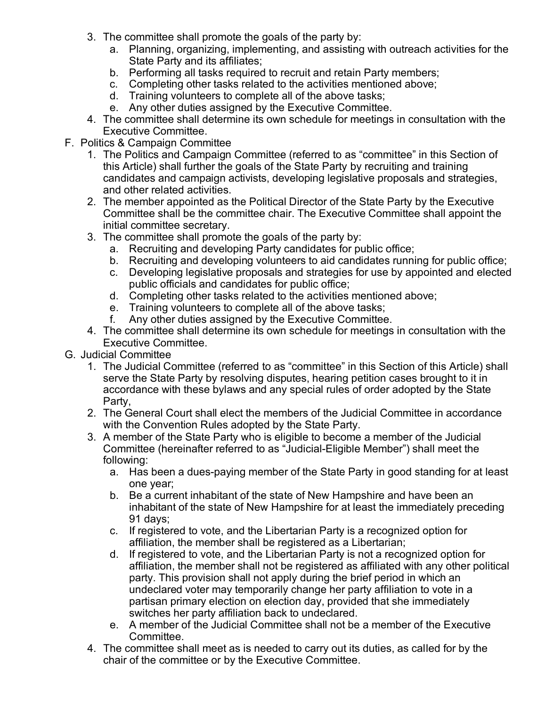- 3. The committee shall promote the goals of the party by:
	- a. Planning, organizing, implementing, and assisting with outreach activities for the State Party and its affiliates;
	- b. Performing all tasks required to recruit and retain Party members;
	- c. Completing other tasks related to the activities mentioned above;
	- d. Training volunteers to complete all of the above tasks;
	- e. Any other duties assigned by the Executive Committee.
- 4. The committee shall determine its own schedule for meetings in consultation with the Executive Committee.
- F. Politics & Campaign Committee
	- 1. The Politics and Campaign Committee (referred to as "committee" in this Section of this Article) shall further the goals of the State Party by recruiting and training candidates and campaign activists, developing legislative proposals and strategies, and other related activities.
	- 2. The member appointed as the Political Director of the State Party by the Executive Committee shall be the committee chair. The Executive Committee shall appoint the initial committee secretary.
	- 3. The committee shall promote the goals of the party by:
		- a. Recruiting and developing Party candidates for public office;
		- b. Recruiting and developing volunteers to aid candidates running for public office;
		- c. Developing legislative proposals and strategies for use by appointed and elected public officials and candidates for public office;
		- d. Completing other tasks related to the activities mentioned above;
		- e. Training volunteers to complete all of the above tasks;
		- f. Any other duties assigned by the Executive Committee.
	- 4. The committee shall determine its own schedule for meetings in consultation with the Executive Committee.
- G. Judicial Committee
	- 1. The Judicial Committee (referred to as "committee" in this Section of this Article) shall serve the State Party by resolving disputes, hearing petition cases brought to it in accordance with these bylaws and any special rules of order adopted by the State Party,
	- 2. The General Court shall elect the members of the Judicial Committee in accordance with the Convention Rules adopted by the State Party.
	- 3. A member of the State Party who is eligible to become a member of the Judicial Committee (hereinafter referred to as "Judicial-Eligible Member") shall meet the following:
		- a. Has been a dues-paying member of the State Party in good standing for at least one year;
		- b. Be a current inhabitant of the state of New Hampshire and have been an inhabitant of the state of New Hampshire for at least the immediately preceding 91 days;
		- c. If registered to vote, and the Libertarian Party is a recognized option for affiliation, the member shall be registered as a Libertarian;
		- d. If registered to vote, and the Libertarian Party is not a recognized option for affiliation, the member shall not be registered as affiliated with any other political party. This provision shall not apply during the brief period in which an undeclared voter may temporarily change her party affiliation to vote in a partisan primary election on election day, provided that she immediately switches her party affiliation back to undeclared.
		- e. A member of the Judicial Committee shall not be a member of the Executive **Committee**
	- 4. The committee shall meet as is needed to carry out its duties, as called for by the chair of the committee or by the Executive Committee.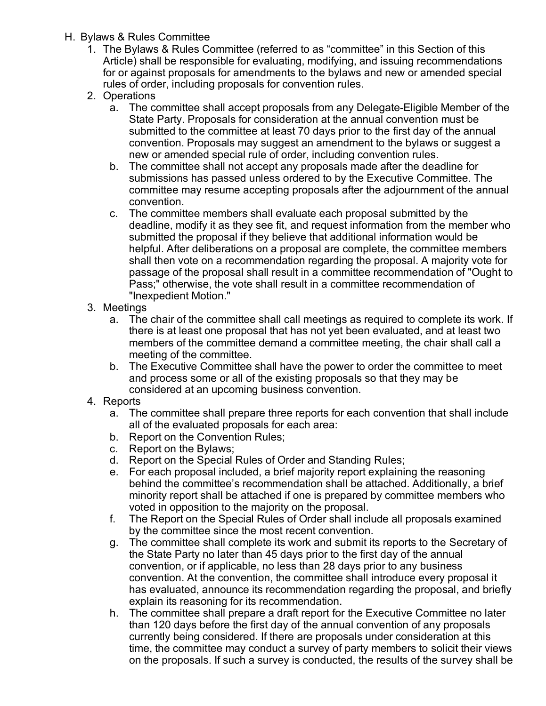- H. Bylaws & Rules Committee
	- 1. The Bylaws & Rules Committee (referred to as "committee" in this Section of this Article) shall be responsible for evaluating, modifying, and issuing recommendations for or against proposals for amendments to the bylaws and new or amended special rules of order, including proposals for convention rules.
	- 2. Operations
		- a. The committee shall accept proposals from any Delegate-Eligible Member of the State Party. Proposals for consideration at the annual convention must be submitted to the committee at least 70 days prior to the first day of the annual convention. Proposals may suggest an amendment to the bylaws or suggest a new or amended special rule of order, including convention rules.
		- b. The committee shall not accept any proposals made after the deadline for submissions has passed unless ordered to by the Executive Committee. The committee may resume accepting proposals after the adjournment of the annual convention.
		- c. The committee members shall evaluate each proposal submitted by the deadline, modify it as they see fit, and request information from the member who submitted the proposal if they believe that additional information would be helpful. After deliberations on a proposal are complete, the committee members shall then vote on a recommendation regarding the proposal. A majority vote for passage of the proposal shall result in a committee recommendation of "Ought to Pass;" otherwise, the vote shall result in a committee recommendation of "Inexpedient Motion."
	- 3. Meetings
		- a. The chair of the committee shall call meetings as required to complete its work. If there is at least one proposal that has not yet been evaluated, and at least two members of the committee demand a committee meeting, the chair shall call a meeting of the committee.
		- b. The Executive Committee shall have the power to order the committee to meet and process some or all of the existing proposals so that they may be considered at an upcoming business convention.
	- 4. Reports
		- a. The committee shall prepare three reports for each convention that shall include all of the evaluated proposals for each area:
		- b. Report on the Convention Rules;
		- c. Report on the Bylaws;
		- d. Report on the Special Rules of Order and Standing Rules;
		- e. For each proposal included, a brief majority report explaining the reasoning behind the committee's recommendation shall be attached. Additionally, a brief minority report shall be attached if one is prepared by committee members who voted in opposition to the majority on the proposal.
		- f. The Report on the Special Rules of Order shall include all proposals examined by the committee since the most recent convention.
		- g. The committee shall complete its work and submit its reports to the Secretary of the State Party no later than 45 days prior to the first day of the annual convention, or if applicable, no less than 28 days prior to any business convention. At the convention, the committee shall introduce every proposal it has evaluated, announce its recommendation regarding the proposal, and briefly explain its reasoning for its recommendation.
		- h. The committee shall prepare a draft report for the Executive Committee no later than 120 days before the first day of the annual convention of any proposals currently being considered. If there are proposals under consideration at this time, the committee may conduct a survey of party members to solicit their views on the proposals. If such a survey is conducted, the results of the survey shall be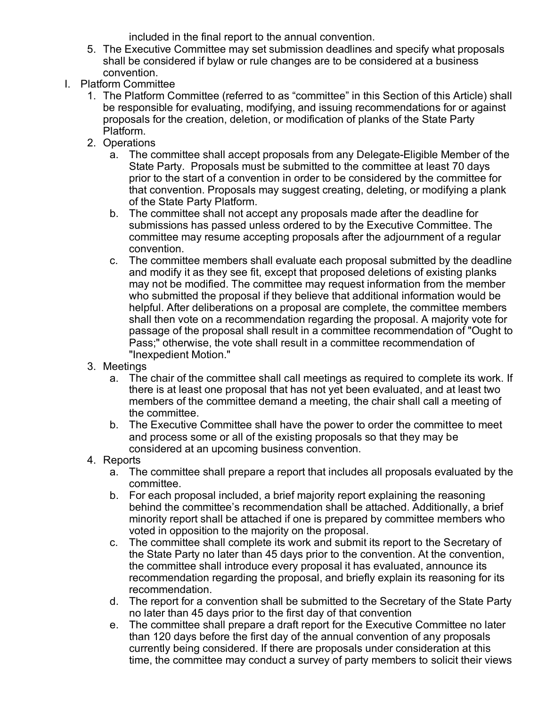included in the final report to the annual convention.

- 5. The Executive Committee may set submission deadlines and specify what proposals shall be considered if bylaw or rule changes are to be considered at a business convention.
- I. Platform Committee
	- 1. The Platform Committee (referred to as "committee" in this Section of this Article) shall be responsible for evaluating, modifying, and issuing recommendations for or against proposals for the creation, deletion, or modification of planks of the State Party Platform.
	- 2. Operations
		- a. The committee shall accept proposals from any Delegate-Eligible Member of the State Party. Proposals must be submitted to the committee at least 70 days prior to the start of a convention in order to be considered by the committee for that convention. Proposals may suggest creating, deleting, or modifying a plank of the State Party Platform.
		- b. The committee shall not accept any proposals made after the deadline for submissions has passed unless ordered to by the Executive Committee. The committee may resume accepting proposals after the adjournment of a regular convention.
		- c. The committee members shall evaluate each proposal submitted by the deadline and modify it as they see fit, except that proposed deletions of existing planks may not be modified. The committee may request information from the member who submitted the proposal if they believe that additional information would be helpful. After deliberations on a proposal are complete, the committee members shall then vote on a recommendation regarding the proposal. A majority vote for passage of the proposal shall result in a committee recommendation of "Ought to Pass;" otherwise, the vote shall result in a committee recommendation of "Inexpedient Motion."
	- 3. Meetings
		- a. The chair of the committee shall call meetings as required to complete its work. If there is at least one proposal that has not yet been evaluated, and at least two members of the committee demand a meeting, the chair shall call a meeting of the committee.
		- b. The Executive Committee shall have the power to order the committee to meet and process some or all of the existing proposals so that they may be considered at an upcoming business convention.
	- 4. Reports
		- a. The committee shall prepare a report that includes all proposals evaluated by the committee.
		- b. For each proposal included, a brief majority report explaining the reasoning behind the committee's recommendation shall be attached. Additionally, a brief minority report shall be attached if one is prepared by committee members who voted in opposition to the majority on the proposal.
		- c. The committee shall complete its work and submit its report to the Secretary of the State Party no later than 45 days prior to the convention. At the convention, the committee shall introduce every proposal it has evaluated, announce its recommendation regarding the proposal, and briefly explain its reasoning for its recommendation.
		- d. The report for a convention shall be submitted to the Secretary of the State Party no later than 45 days prior to the first day of that convention
		- e. The committee shall prepare a draft report for the Executive Committee no later than 120 days before the first day of the annual convention of any proposals currently being considered. If there are proposals under consideration at this time, the committee may conduct a survey of party members to solicit their views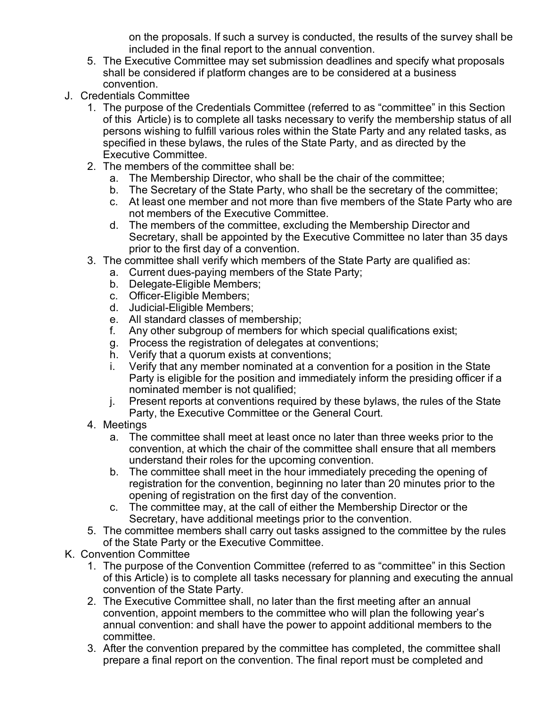on the proposals. If such a survey is conducted, the results of the survey shall be included in the final report to the annual convention.

- 5. The Executive Committee may set submission deadlines and specify what proposals shall be considered if platform changes are to be considered at a business convention.
- J. Credentials Committee
	- 1. The purpose of the Credentials Committee (referred to as "committee" in this Section of this Article) is to complete all tasks necessary to verify the membership status of all persons wishing to fulfill various roles within the State Party and any related tasks, as specified in these bylaws, the rules of the State Party, and as directed by the Executive Committee.
	- 2. The members of the committee shall be:
		- a. The Membership Director, who shall be the chair of the committee;
		- b. The Secretary of the State Party, who shall be the secretary of the committee;
		- c. At least one member and not more than five members of the State Party who are not members of the Executive Committee.
		- d. The members of the committee, excluding the Membership Director and Secretary, shall be appointed by the Executive Committee no later than 35 days prior to the first day of a convention.
	- 3. The committee shall verify which members of the State Party are qualified as:
		- a. Current dues-paying members of the State Party;
		- b. Delegate-Eligible Members;
		- c. Officer-Eligible Members;
		- d. Judicial-Eligible Members;
		- e. All standard classes of membership;
		- f. Any other subgroup of members for which special qualifications exist;
		- g. Process the registration of delegates at conventions;
		- h. Verify that a quorum exists at conventions;
		- i. Verify that any member nominated at a convention for a position in the State Party is eligible for the position and immediately inform the presiding officer if a nominated member is not qualified;
		- j. Present reports at conventions required by these bylaws, the rules of the State Party, the Executive Committee or the General Court.
	- 4. Meetings
		- a. The committee shall meet at least once no later than three weeks prior to the convention, at which the chair of the committee shall ensure that all members understand their roles for the upcoming convention.
		- b. The committee shall meet in the hour immediately preceding the opening of registration for the convention, beginning no later than 20 minutes prior to the opening of registration on the first day of the convention.
		- c. The committee may, at the call of either the Membership Director or the Secretary, have additional meetings prior to the convention.
	- 5. The committee members shall carry out tasks assigned to the committee by the rules of the State Party or the Executive Committee.
- K. Convention Committee
	- 1. The purpose of the Convention Committee (referred to as "committee" in this Section of this Article) is to complete all tasks necessary for planning and executing the annual convention of the State Party.
	- 2. The Executive Committee shall, no later than the first meeting after an annual convention, appoint members to the committee who will plan the following year's annual convention: and shall have the power to appoint additional members to the committee.
	- 3. After the convention prepared by the committee has completed, the committee shall prepare a final report on the convention. The final report must be completed and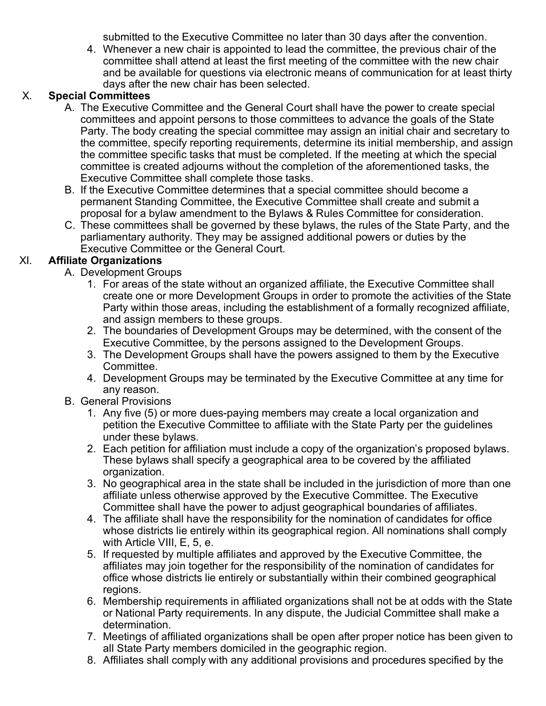submitted to the Executive Committee no later than 30 days after the convention.

4. Whenever a new chair is appointed to lead the committee, the previous chair of the committee shall attend at least the first meeting of the committee with the new chair and be available for questions via electronic means of communication for at least thirty days after the new chair has been selected.

#### X. **Special Committees**

- A. The Executive Committee and the General Court shall have the power to create special committees and appoint persons to those committees to advance the goals of the State Party. The body creating the special committee may assign an initial chair and secretary to the committee, specify reporting requirements, determine its initial membership, and assign the committee specific tasks that must be completed. If the meeting at which the special committee is created adjourns without the completion of the aforementioned tasks, the Executive Committee shall complete those tasks.
- B. If the Executive Committee determines that a special committee should become a permanent Standing Committee, the Executive Committee shall create and submit a proposal for a bylaw amendment to the Bylaws & Rules Committee for consideration.
- C. These committees shall be governed by these bylaws, the rules of the State Party, and the parliamentary authority. They may be assigned additional powers or duties by the Executive Committee or the General Court.

#### XI. **Affiliate Organizations**

- A. Development Groups
	- 1. For areas of the state without an organized affiliate, the Executive Committee shall create one or more Development Groups in order to promote the activities of the State Party within those areas, including the establishment of a formally recognized affiliate, and assign members to these groups.
	- 2. The boundaries of Development Groups may be determined, with the consent of the Executive Committee, by the persons assigned to the Development Groups.
	- 3. The Development Groups shall have the powers assigned to them by the Executive Committee.
	- 4. Development Groups may be terminated by the Executive Committee at any time for any reason.
- B. General Provisions
	- 1. Any five (5) or more dues-paying members may create a local organization and petition the Executive Committee to affiliate with the State Party per the guidelines under these bylaws.
	- 2. Each petition for affiliation must include a copy of the organization's proposed bylaws. These bylaws shall specify a geographical area to be covered by the affiliated organization.
	- 3. No geographical area in the state shall be included in the jurisdiction of more than one affiliate unless otherwise approved by the Executive Committee. The Executive Committee shall have the power to adjust geographical boundaries of affiliates.
	- 4. The affiliate shall have the responsibility for the nomination of candidates for office whose districts lie entirely within its geographical region. All nominations shall comply with Article VIII, E, 5, e.
	- 5. If requested by multiple affiliates and approved by the Executive Committee, the affiliates may join together for the responsibility of the nomination of candidates for office whose districts lie entirely or substantially within their combined geographical regions.
	- 6. Membership requirements in affiliated organizations shall not be at odds with the State or National Party requirements. In any dispute, the Judicial Committee shall make a determination.
	- 7. Meetings of affiliated organizations shall be open after proper notice has been given to all State Party members domiciled in the geographic region.
	- 8. Affiliates shall comply with any additional provisions and procedures specified by the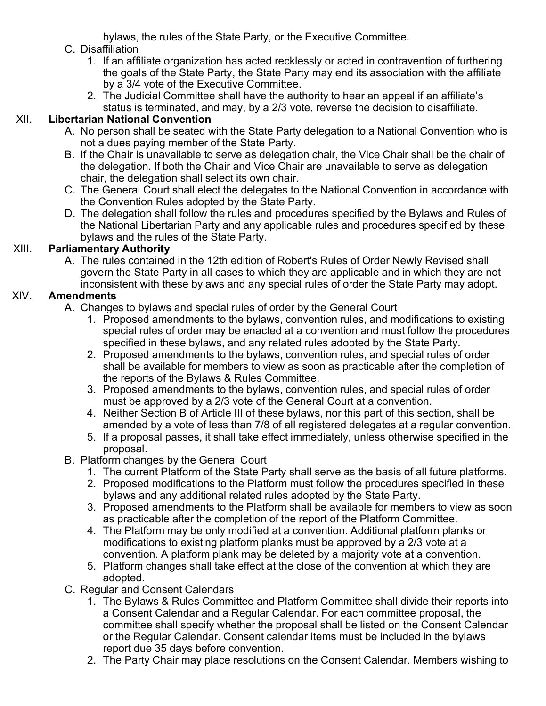bylaws, the rules of the State Party, or the Executive Committee.

## C. Disaffiliation

- 1. If an affiliate organization has acted recklessly or acted in contravention of furthering the goals of the State Party, the State Party may end its association with the affiliate by a 3/4 vote of the Executive Committee.
- 2. The Judicial Committee shall have the authority to hear an appeal if an affiliate's status is terminated, and may, by a 2/3 vote, reverse the decision to disaffiliate.

## XII. **Libertarian National Convention**

- A. No person shall be seated with the State Party delegation to a National Convention who is not a dues paying member of the State Party.
- B. If the Chair is unavailable to serve as delegation chair, the Vice Chair shall be the chair of the delegation. If both the Chair and Vice Chair are unavailable to serve as delegation chair, the delegation shall select its own chair.
- C. The General Court shall elect the delegates to the National Convention in accordance with the Convention Rules adopted by the State Party.
- D. The delegation shall follow the rules and procedures specified by the Bylaws and Rules of the National Libertarian Party and any applicable rules and procedures specified by these bylaws and the rules of the State Party.

### XIII. **Parliamentary Authority**

A. The rules contained in the 12th edition of Robert's Rules of Order Newly Revised shall govern the State Party in all cases to which they are applicable and in which they are not inconsistent with these bylaws and any special rules of order the State Party may adopt.

## XIV. **Amendments**

- A. Changes to bylaws and special rules of order by the General Court
	- 1. Proposed amendments to the bylaws, convention rules, and modifications to existing special rules of order may be enacted at a convention and must follow the procedures specified in these bylaws, and any related rules adopted by the State Party.
	- 2. Proposed amendments to the bylaws, convention rules, and special rules of order shall be available for members to view as soon as practicable after the completion of the reports of the Bylaws & Rules Committee.
	- 3. Proposed amendments to the bylaws, convention rules, and special rules of order must be approved by a 2/3 vote of the General Court at a convention.
	- 4. Neither Section B of Article III of these bylaws, nor this part of this section, shall be amended by a vote of less than 7/8 of all registered delegates at a regular convention.
	- 5. If a proposal passes, it shall take effect immediately, unless otherwise specified in the proposal.
- B. Platform changes by the General Court
	- 1. The current Platform of the State Party shall serve as the basis of all future platforms.
	- 2. Proposed modifications to the Platform must follow the procedures specified in these bylaws and any additional related rules adopted by the State Party.
	- 3. Proposed amendments to the Platform shall be available for members to view as soon as practicable after the completion of the report of the Platform Committee.
	- 4. The Platform may be only modified at a convention. Additional platform planks or modifications to existing platform planks must be approved by a 2/3 vote at a convention. A platform plank may be deleted by a majority vote at a convention.
	- 5. Platform changes shall take effect at the close of the convention at which they are adopted.
- C. Regular and Consent Calendars
	- 1. The Bylaws & Rules Committee and Platform Committee shall divide their reports into a Consent Calendar and a Regular Calendar. For each committee proposal, the committee shall specify whether the proposal shall be listed on the Consent Calendar or the Regular Calendar. Consent calendar items must be included in the bylaws report due 35 days before convention.
	- 2. The Party Chair may place resolutions on the Consent Calendar. Members wishing to